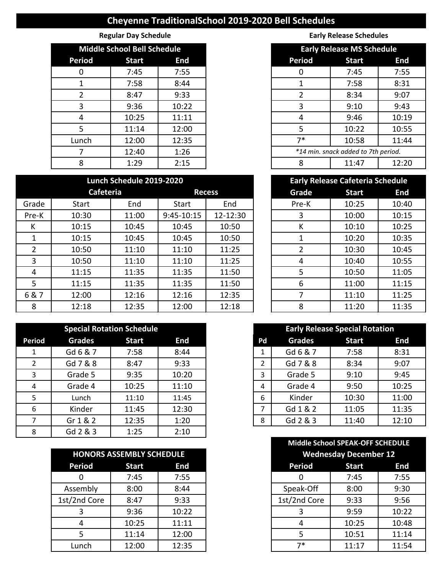## **Cheyenne TraditionalSchool 2019-2020 Bell Schedules**

|               | <b>Middle School Bell Schedule</b> |            |
|---------------|------------------------------------|------------|
| <b>Period</b> | <b>Start</b>                       | <b>End</b> |
| 0             | 7:45                               | 7:55       |
|               | 7:58                               | 8:44       |
|               | 8:47                               | 9:33       |
| 3             | 9:36                               | 10:22      |
| 4             | 10:25                              | 11:11      |
| 5             | 11:14                              | 12:00      |
| Lunch         | 12:00                              | 12:35      |
|               | 12:40                              | 1:26       |
| 8             | 1:29                               | 2:15       |

## **Lunch Schedule 2019-2020**

|       | Cafeteria |       | <b>Recess</b> |          | Grade | <b>Start</b> | <b>End</b> |
|-------|-----------|-------|---------------|----------|-------|--------------|------------|
| Grade | Start     | End   | Start         | End      | Pre-K | 10:25        | 10:40      |
| Pre-K | 10:30     | 11:00 | 9:45-10:15    | 12-12:30 | 3     | 10:00        | 10:15      |
| Κ     | 10:15     | 10:45 | 10:45         | 10:50    | К     | 10:10        | 10:25      |
|       | 10:15     | 10:45 | 10:45         | 10:50    |       | 10:20        | 10:35      |
|       | 10:50     | 11:10 | 11:10         | 11:25    | 2     | 10:30        | 10:45      |
| 3     | 10:50     | 11:10 | 11:10         | 11:25    | 4     | 10:40        | 10:55      |
| 4     | 11:15     | 11:35 | 11:35         | 11:50    | 5     | 10:50        | 11:05      |
| 5     | 11:15     | 11:35 | 11:35         | 11:50    | 6     | 11:00        | 11:15      |
| 6&7   | 12:00     | 12:16 | 12:16         | 12:35    |       | 11:10        | 11:25      |
| 8     | 12:18     | 12:35 | 12:00         | 12:18    | 8     | 11:20        | 11:35      |

|               |               | <b>Special Rotation Schedule</b> |       |
|---------------|---------------|----------------------------------|-------|
| <b>Period</b> | <b>Grades</b> | <b>Start</b>                     | End   |
|               | Gd 6 & 7      | 7:58                             | 8:44  |
| 2             | Gd 7 & 8      | 8:47                             | 9:33  |
| 3             | Grade 5       | 9:35                             | 10:20 |
| 4             | Grade 4       | 10:25                            | 11:10 |
| 5             | Lunch         | 11:10                            | 11:45 |
| 6             | Kinder        | 11:45                            | 12:30 |
|               | Gr 1 & 2      | 12:35                            | 1:20  |
| 8             | Gd 2 & 3      | 1:25                             | 2:10  |

| <b>HONORS ASSEMBLY SCHEDULE</b> |              |       |
|---------------------------------|--------------|-------|
| <b>Period</b>                   | <b>Start</b> | End   |
|                                 | 7:45         | 7:55  |
| Assembly                        | 8:00         | 8:44  |
| 1st/2nd Core                    | 8:47         | 9:33  |
|                                 | 9:36         | 10:22 |
|                                 | 10:25        | 11:11 |
|                                 | 11:14        | 12:00 |
| Lunch                           | 12:00        | 12:35 |

**Regular Day Schedule Early Release Schedules Early Release Schedules** 

| <b>Middle School Bell Schedule</b> |              |            |               | <b>Early Release MS Schedule</b>    |            |  |
|------------------------------------|--------------|------------|---------------|-------------------------------------|------------|--|
| riod                               | <b>Start</b> | <b>End</b> | <b>Period</b> | <b>Start</b>                        | <b>End</b> |  |
| 0                                  | 7:45         | 7:55       | 0             | 7:45                                | 7:55       |  |
| 1                                  | 7:58         | 8:44       |               | 7:58                                | 8:31       |  |
| $\overline{2}$                     | 8:47         | 9:33       |               | 8:34                                | 9:07       |  |
| 3                                  | 9:36         | 10:22      | 3             | 9:10                                | 9:43       |  |
| 4                                  | 10:25        | 11:11      | 4             | 9:46                                | 10:19      |  |
| 5                                  | 11:14        | 12:00      | 5             | 10:22                               | 10:55      |  |
| nch                                | 12:00        | 12:35      | $7*$          | 10:58                               | 11:44      |  |
| 7                                  | 12:40        | 1:26       |               | *14 min. snack added to 7th period. |            |  |
| 8                                  | 1:29         | 2:15       | 8             | 11:47                               | 12:20      |  |

| <b>Early Release Cafeteria Schedule</b> |              |            |  |  |  |  |
|-----------------------------------------|--------------|------------|--|--|--|--|
| Grade                                   | <b>Start</b> | <b>End</b> |  |  |  |  |
| Pre-K                                   | 10:25        | 10:40      |  |  |  |  |
| 3                                       | 10:00        | 10:15      |  |  |  |  |
| К                                       | 10:10        | 10:25      |  |  |  |  |
| 1                                       | 10:20        | 10:35      |  |  |  |  |
| 2                                       | 10:30        | 10:45      |  |  |  |  |
| 4                                       | 10:40        | 10:55      |  |  |  |  |
| 5                                       | 10:50        | 11:05      |  |  |  |  |
| 6                                       | 11:00        | 11:15      |  |  |  |  |
| 7                                       | 11:10        | 11:25      |  |  |  |  |
| 8                                       | 11:20        | 11:35      |  |  |  |  |

| <b>Early Release Special Rotation</b> |               |              |       |  |  |  |
|---------------------------------------|---------------|--------------|-------|--|--|--|
| Pd                                    | <b>Grades</b> | <b>Start</b> | End   |  |  |  |
| 1                                     | Gd 6 & 7      | 7:58         | 8:31  |  |  |  |
| $\mathcal{P}$                         | Gd 7 & 8      | 8:34         | 9:07  |  |  |  |
| 3                                     | Grade 5       | 9:10         | 9:45  |  |  |  |
| 4                                     | Grade 4       | 9:50         | 10:25 |  |  |  |
| 6                                     | Kinder        | 10:30        | 11:00 |  |  |  |
| 7                                     | Gd 1 & 2      | 11:05        | 11:35 |  |  |  |
| ጸ                                     | Gd 2 & 3      | 11:40        | 12:10 |  |  |  |

|           |                                 |            |               | Middle School SPEAK-OFF SCHEDULE |
|-----------|---------------------------------|------------|---------------|----------------------------------|
|           | <b>HONORS ASSEMBLY SCHEDULE</b> |            |               | <b>Wednesday December 12</b>     |
| Period    | <b>Start</b>                    | <b>End</b> | <b>Period</b> | <b>Start</b>                     |
| 0         | 7:45                            | 7:55       | 0             | 7:45                             |
| ssembly   | 8:00                            | 8:44       | Speak-Off     | 8:00                             |
| /2nd Core | 8:47                            | 9:33       | 1st/2nd Core  | 9:33                             |
| 3         | 9:36                            | 10:22      | 3             | 9:59                             |
| 4         | 10:25                           | 11:11      | 4             | 10:25                            |
| 5         | 11:14                           | 12:00      | 5             | 10:51                            |
| Lunch     | 12:00                           | 12:35      | 7*            | 11:17                            |